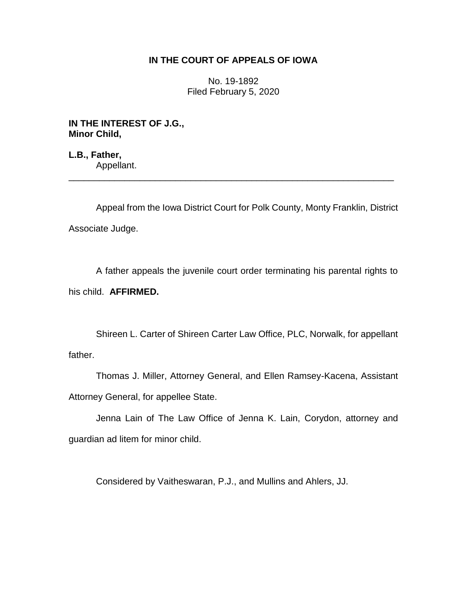## **IN THE COURT OF APPEALS OF IOWA**

No. 19-1892 Filed February 5, 2020

**IN THE INTEREST OF J.G., Minor Child,**

**L.B., Father,** Appellant. \_\_\_\_\_\_\_\_\_\_\_\_\_\_\_\_\_\_\_\_\_\_\_\_\_\_\_\_\_\_\_\_\_\_\_\_\_\_\_\_\_\_\_\_\_\_\_\_\_\_\_\_\_\_\_\_\_\_\_\_\_\_\_\_

Appeal from the Iowa District Court for Polk County, Monty Franklin, District Associate Judge.

A father appeals the juvenile court order terminating his parental rights to his child. **AFFIRMED.**

Shireen L. Carter of Shireen Carter Law Office, PLC, Norwalk, for appellant father.

Thomas J. Miller, Attorney General, and Ellen Ramsey-Kacena, Assistant Attorney General, for appellee State.

Jenna Lain of The Law Office of Jenna K. Lain, Corydon, attorney and guardian ad litem for minor child.

Considered by Vaitheswaran, P.J., and Mullins and Ahlers, JJ.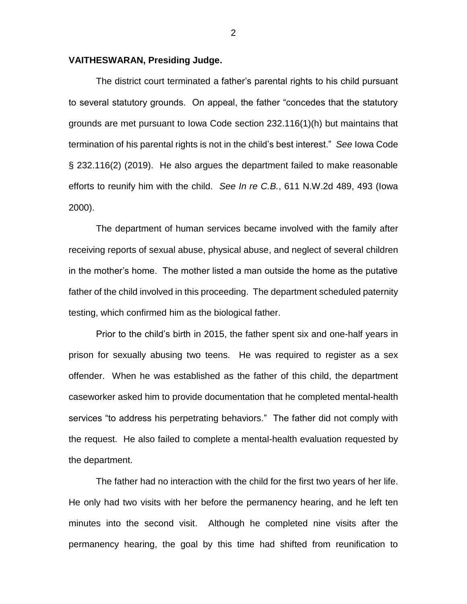## **VAITHESWARAN, Presiding Judge.**

The district court terminated a father's parental rights to his child pursuant to several statutory grounds. On appeal, the father "concedes that the statutory grounds are met pursuant to Iowa Code section 232.116(1)(h) but maintains that termination of his parental rights is not in the child's best interest." *See* Iowa Code § 232.116(2) (2019). He also argues the department failed to make reasonable efforts to reunify him with the child. *See In re C.B.*, 611 N.W.2d 489, 493 (Iowa 2000).

The department of human services became involved with the family after receiving reports of sexual abuse, physical abuse, and neglect of several children in the mother's home. The mother listed a man outside the home as the putative father of the child involved in this proceeding. The department scheduled paternity testing, which confirmed him as the biological father.

Prior to the child's birth in 2015, the father spent six and one-half years in prison for sexually abusing two teens. He was required to register as a sex offender. When he was established as the father of this child, the department caseworker asked him to provide documentation that he completed mental-health services "to address his perpetrating behaviors." The father did not comply with the request. He also failed to complete a mental-health evaluation requested by the department.

The father had no interaction with the child for the first two years of her life. He only had two visits with her before the permanency hearing, and he left ten minutes into the second visit. Although he completed nine visits after the permanency hearing, the goal by this time had shifted from reunification to

2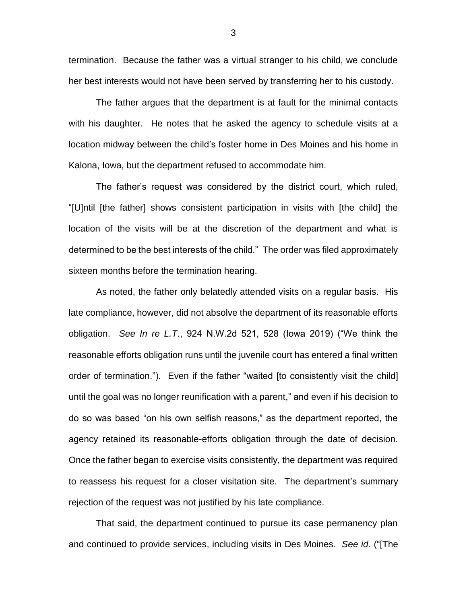termination. Because the father was a virtual stranger to his child, we conclude her best interests would not have been served by transferring her to his custody.

The father argues that the department is at fault for the minimal contacts with his daughter. He notes that he asked the agency to schedule visits at a location midway between the child's foster home in Des Moines and his home in Kalona, Iowa, but the department refused to accommodate him.

The father's request was considered by the district court, which ruled, "[U]ntil [the father] shows consistent participation in visits with [the child] the location of the visits will be at the discretion of the department and what is determined to be the best interests of the child." The order was filed approximately sixteen months before the termination hearing.

As noted, the father only belatedly attended visits on a regular basis. His late compliance, however, did not absolve the department of its reasonable efforts obligation. *See In re L.T*., 924 N.W.2d 521, 528 (Iowa 2019) ("We think the reasonable efforts obligation runs until the juvenile court has entered a final written order of termination."). Even if the father "waited [to consistently visit the child] until the goal was no longer reunification with a parent," and even if his decision to do so was based "on his own selfish reasons," as the department reported, the agency retained its reasonable-efforts obligation through the date of decision. Once the father began to exercise visits consistently, the department was required to reassess his request for a closer visitation site. The department's summary rejection of the request was not justified by his late compliance.

That said, the department continued to pursue its case permanency plan and continued to provide services, including visits in Des Moines. *See id.* ("[The

3